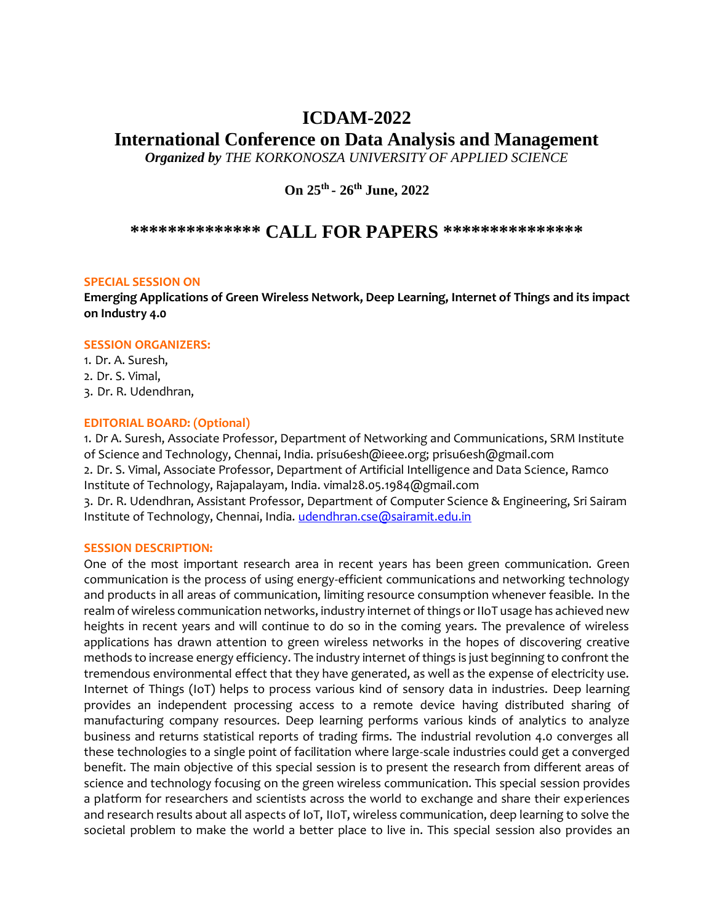## **ICDAM-2022**

# **International Conference on Data Analysis and Management**

*Organized by THE KORKONOSZA UNIVERSITY OF APPLIED SCIENCE* 

**On 25th - 26th June, 2022**

### **\*\*\*\*\*\*\*\*\*\*\*\*\*\* CALL FOR PAPERS \*\*\*\*\*\*\*\*\*\*\*\*\*\*\***

#### **SPECIAL SESSION ON**

**Emerging Applications of Green Wireless Network, Deep Learning, Internet of Things and its impact on Industry 4.0** 

#### **SESSION ORGANIZERS:**

1. Dr. A. Suresh, 2. Dr. S. Vimal, 3. Dr. R. Udendhran,

#### **EDITORIAL BOARD: (Optional)**

1. Dr A. Suresh, Associate Professor, Department of Networking and Communications, SRM Institute of Science and Technology, Chennai, India. prisu6esh@ieee.org; prisu6esh@gmail.com 2. Dr. S. Vimal, Associate Professor, Department of Artificial Intelligence and Data Science, Ramco Institute of Technology, Rajapalayam, India. vimal28.05.1984@gmail.com 3. Dr. R. Udendhran, Assistant Professor, Department of Computer Science & Engineering, Sri Sairam Institute of Technology, Chennai, India[. udendhran.cse@sairamit.edu.in](mailto:udendhran.cse@sairamit.edu.in)

#### **SESSION DESCRIPTION:**

One of the most important research area in recent years has been green communication. Green communication is the process of using energy-efficient communications and networking technology and products in all areas of communication, limiting resource consumption whenever feasible. In the realm of wireless communication networks, industry internet of things or IIoT usage has achieved new heights in recent years and will continue to do so in the coming years. The prevalence of wireless applications has drawn attention to green wireless networks in the hopes of discovering creative methods to increase energy efficiency. The industry internet of things is just beginning to confront the tremendous environmental effect that they have generated, as well as the expense of electricity use. Internet of Things (IoT) helps to process various kind of sensory data in industries. Deep learning provides an independent processing access to a remote device having distributed sharing of manufacturing company resources. Deep learning performs various kinds of analytics to analyze business and returns statistical reports of trading firms. The industrial revolution 4.0 converges all these technologies to a single point of facilitation where large-scale industries could get a converged benefit. The main objective of this special session is to present the research from different areas of science and technology focusing on the green wireless communication. This special session provides a platform for researchers and scientists across the world to exchange and share their experiences and research results about all aspects of IoT, IIoT, wireless communication, deep learning to solve the societal problem to make the world a better place to live in. This special session also provides an